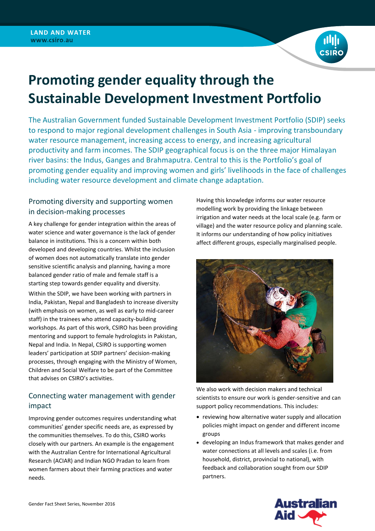

# **Promoting gender equality through the Sustainable Development Investment Portfolio**

The Australian Government funded Sustainable Development Investment Portfolio (SDIP) seeks to respond to major regional development challenges in South Asia - improving transboundary water resource management, increasing access to energy, and increasing agricultural productivity and farm incomes. The SDIP geographical focus is on the three major Himalayan river basins: the Indus, Ganges and Brahmaputra. Central to this is the Portfolio's goal of promoting gender equality and improving women and girls' livelihoods in the face of challenges including water resource development and climate change adaptation.

# Promoting diversity and supporting women in decision-making processes

A key challenge for gender integration within the areas of water science and water governance is the lack of gender balance in institutions. This is a concern within both developed and developing countries. Whilst the inclusion of women does not automatically translate into gender sensitive scientific analysis and planning, having a more balanced gender ratio of male and female staff is a starting step towards gender equality and diversity.

Within the SDIP, we have been working with partners in India, Pakistan, Nepal and Bangladesh to increase diversity (with emphasis on women, as well as early to mid-career staff) in the trainees who attend capacity-building workshops. As part of this work, CSIRO has been providing mentoring and support to female hydrologists in Pakistan, Nepal and India. In Nepal, CSIRO is supporting women leaders' participation at SDIP partners' decision-making processes, through engaging with the Ministry of Women, Children and Social Welfare to be part of the Committee that advises on CSIRO's activities.

# Connecting water management with gender impact

Improving gender outcomes requires understanding what communities' gender specific needs are, as expressed by the communities themselves. To do this, CSIRO works closely with our partners. An example is the engagement with the Australian Centre for International Agricultural Research (ACIAR) and Indian NGO Pradan to learn from women farmers about their farming practices and water needs.

Having this knowledge informs our water resource modelling work by providing the linkage between irrigation and water needs at the local scale (e.g. farm or village) and the water resource policy and planning scale. It informs our understanding of how policy initiatives affect different groups, especially marginalised people.



We also work with decision makers and technical scientists to ensure our work is gender-sensitive and can support policy recommendations. This includes:

- reviewing how alternative water supply and allocation policies might impact on gender and different income groups
- developing an Indus framework that makes gender and water connections at all levels and scales (i.e. from household, district, provincial to national), with feedback and collaboration sought from our SDIP partners.